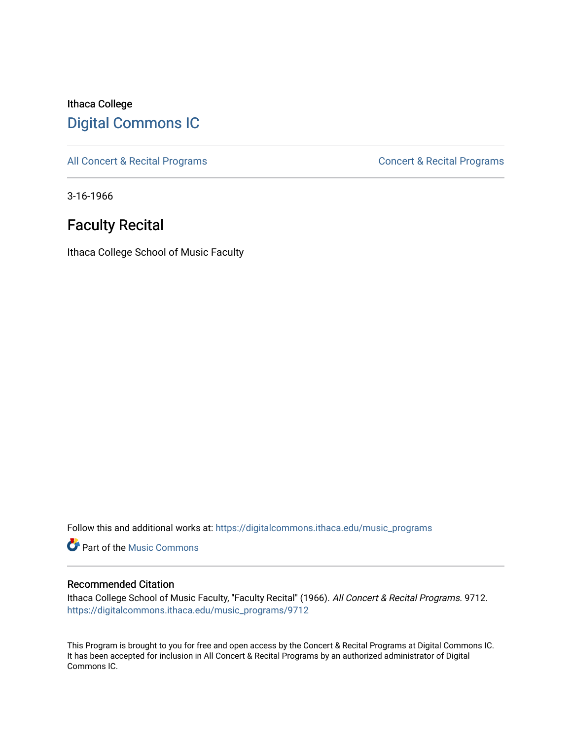## Ithaca College [Digital Commons IC](https://digitalcommons.ithaca.edu/)

[All Concert & Recital Programs](https://digitalcommons.ithaca.edu/music_programs) **Concert & Recital Programs** Concert & Recital Programs

3-16-1966

# Faculty Recital

Ithaca College School of Music Faculty

Follow this and additional works at: [https://digitalcommons.ithaca.edu/music\\_programs](https://digitalcommons.ithaca.edu/music_programs?utm_source=digitalcommons.ithaca.edu%2Fmusic_programs%2F9712&utm_medium=PDF&utm_campaign=PDFCoverPages) 

**Part of the Music Commons** 

## Recommended Citation

Ithaca College School of Music Faculty, "Faculty Recital" (1966). All Concert & Recital Programs. 9712. [https://digitalcommons.ithaca.edu/music\\_programs/9712](https://digitalcommons.ithaca.edu/music_programs/9712?utm_source=digitalcommons.ithaca.edu%2Fmusic_programs%2F9712&utm_medium=PDF&utm_campaign=PDFCoverPages) 

This Program is brought to you for free and open access by the Concert & Recital Programs at Digital Commons IC. It has been accepted for inclusion in All Concert & Recital Programs by an authorized administrator of Digital Commons IC.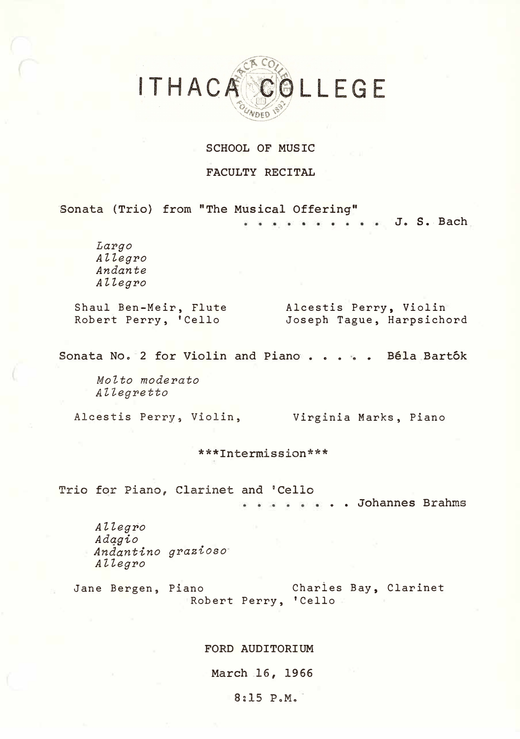# ITHACA COLLEGE **NDED**

#### SCHOOL OF MUSIC

#### FACULTY RECITAL

Sonata (Trio) from "The Musical Offering"

**J. S .. Bach**   $\tilde{\bullet}$ 

*Largo Allegro Andante Allegro* 

Shaul Ben-Meir, Flute Robert Perry, 'Cello

Alcestis Perry, Violin Joseph Tague, Harpsichord

**Sonata Noo 2 for Violin and Piano .** .... **Bela Bartok** 

*Molto moderato AZlegretto* 

Alcestis Perry, Violin, Virginia Marks, Piano

\*\*\*Intermission\*\*\*

Trio for Piano, Clarinet and 'Cello

.. Johannes Brahms

*Allegro Adqgio Andantino grazioso Allegro* 

Jane Bergen, Piano Charies Bay, Clarinet Robert Perry, 'Cello

#### FORD AUDITORIUM

March 16, 1966

#### 8:15 P.M.